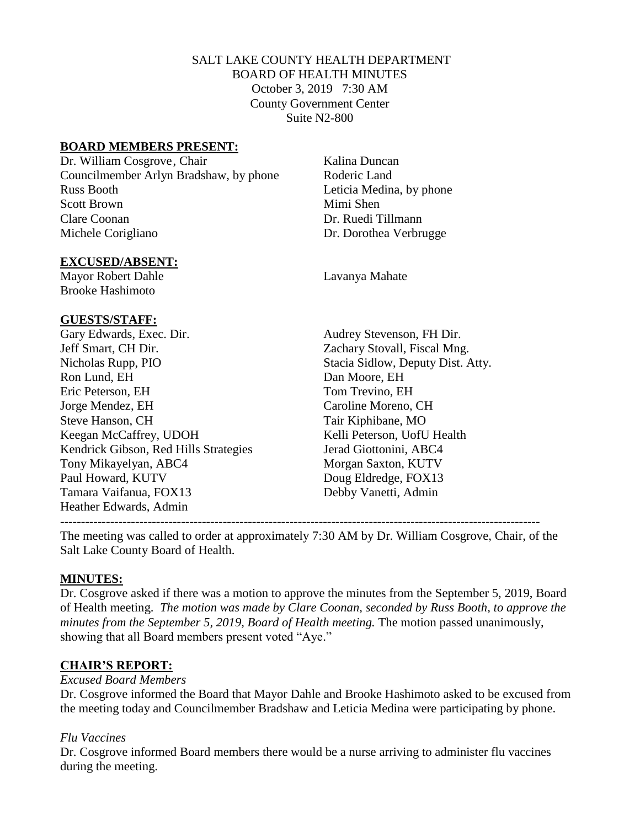# SALT LAKE COUNTY HEALTH DEPARTMENT BOARD OF HEALTH MINUTES October 3, 2019 7:30 AM County Government Center Suite N2-800

### **BOARD MEMBERS PRESENT:**

Dr. William Cosgrove, Chair Kalina Duncan Councilmember Arlyn Bradshaw, by phone Roderic Land Russ Booth Leticia Medina, by phone Scott Brown Mimi Shen Clare Coonan Dr. Ruedi Tillmann Michele Corigliano Dr. Dorothea Verbrugge

#### **EXCUSED/ABSENT:**

Mayor Robert Dahle Lavanya Mahate Brooke Hashimoto

#### **GUESTS/STAFF:**

Gary Edwards, Exec. Dir. Audrey Stevenson, FH Dir. Jeff Smart, CH Dir. Zachary Stovall, Fiscal Mng. Nicholas Rupp, PIO Stacia Sidlow, Deputy Dist. Atty. Ron Lund, EH Dan Moore, EH Eric Peterson, EH Tom Trevino, EH Jorge Mendez, EH Caroline Moreno, CH Steve Hanson, CH Tair Kiphibane, MO Keegan McCaffrey, UDOH Kelli Peterson, UofU Health Kendrick Gibson, Red Hills Strategies Jerad Giottonini, ABC4 Tony Mikayelyan, ABC4 Morgan Saxton, KUTV Paul Howard, KUTV Doug Eldredge, FOX13 Tamara Vaifanua, FOX13 Debby Vanetti, Admin Heather Edwards, Admin

------------------------------------------------------------------------------------------------------------------- The meeting was called to order at approximately 7:30 AM by Dr. William Cosgrove, Chair, of the Salt Lake County Board of Health.

#### **MINUTES:**

Dr. Cosgrove asked if there was a motion to approve the minutes from the September 5, 2019, Board of Health meeting. *The motion was made by Clare Coonan, seconded by Russ Booth, to approve the minutes from the September 5, 2019, Board of Health meeting.* The motion passed unanimously, showing that all Board members present voted "Aye."

#### **CHAIR'S REPORT:**

#### *Excused Board Members*

Dr. Cosgrove informed the Board that Mayor Dahle and Brooke Hashimoto asked to be excused from the meeting today and Councilmember Bradshaw and Leticia Medina were participating by phone.

#### *Flu Vaccines*

Dr. Cosgrove informed Board members there would be a nurse arriving to administer flu vaccines during the meeting.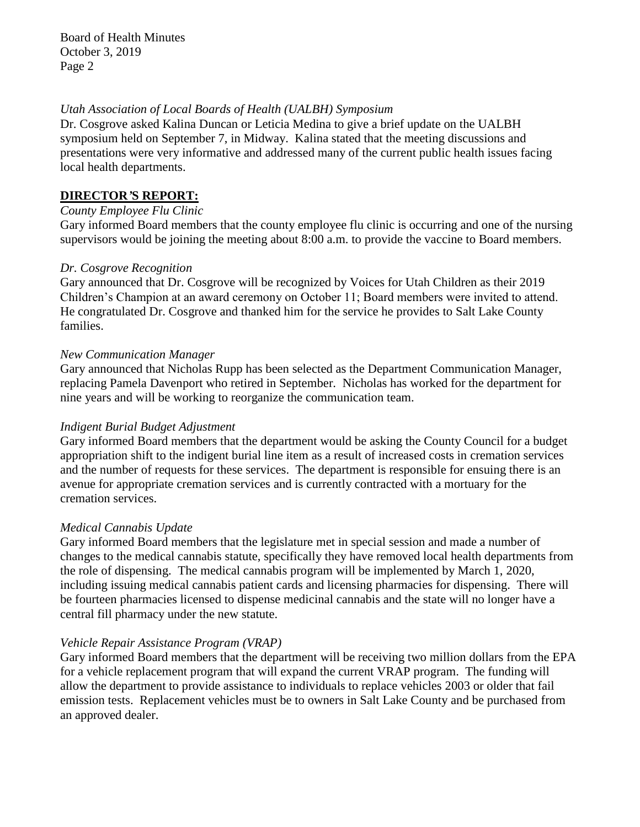#### *Utah Association of Local Boards of Health (UALBH) Symposium*

Dr. Cosgrove asked Kalina Duncan or Leticia Medina to give a brief update on the UALBH symposium held on September 7, in Midway. Kalina stated that the meeting discussions and presentations were very informative and addressed many of the current public health issues facing local health departments.

### **DIRECTOR***'***S REPORT:**

### *County Employee Flu Clinic*

Gary informed Board members that the county employee flu clinic is occurring and one of the nursing supervisors would be joining the meeting about 8:00 a.m. to provide the vaccine to Board members.

### *Dr. Cosgrove Recognition*

Gary announced that Dr. Cosgrove will be recognized by Voices for Utah Children as their 2019 Children's Champion at an award ceremony on October 11; Board members were invited to attend. He congratulated Dr. Cosgrove and thanked him for the service he provides to Salt Lake County families.

### *New Communication Manager*

Gary announced that Nicholas Rupp has been selected as the Department Communication Manager, replacing Pamela Davenport who retired in September. Nicholas has worked for the department for nine years and will be working to reorganize the communication team.

# *Indigent Burial Budget Adjustment*

Gary informed Board members that the department would be asking the County Council for a budget appropriation shift to the indigent burial line item as a result of increased costs in cremation services and the number of requests for these services. The department is responsible for ensuing there is an avenue for appropriate cremation services and is currently contracted with a mortuary for the cremation services.

#### *Medical Cannabis Update*

Gary informed Board members that the legislature met in special session and made a number of changes to the medical cannabis statute, specifically they have removed local health departments from the role of dispensing. The medical cannabis program will be implemented by March 1, 2020, including issuing medical cannabis patient cards and licensing pharmacies for dispensing. There will be fourteen pharmacies licensed to dispense medicinal cannabis and the state will no longer have a central fill pharmacy under the new statute.

# *Vehicle Repair Assistance Program (VRAP)*

Gary informed Board members that the department will be receiving two million dollars from the EPA for a vehicle replacement program that will expand the current VRAP program. The funding will allow the department to provide assistance to individuals to replace vehicles 2003 or older that fail emission tests. Replacement vehicles must be to owners in Salt Lake County and be purchased from an approved dealer.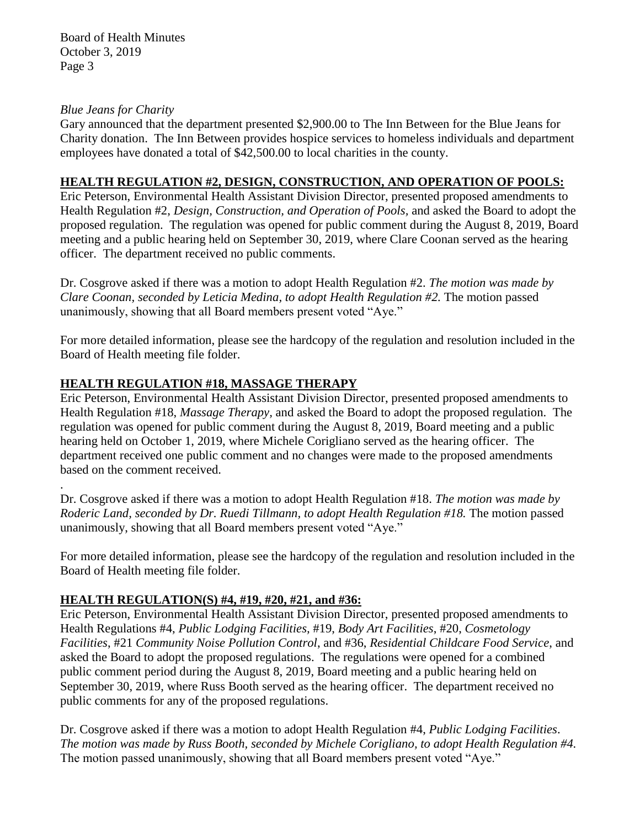### *Blue Jeans for Charity*

.

Gary announced that the department presented \$2,900.00 to The Inn Between for the Blue Jeans for Charity donation. The Inn Between provides hospice services to homeless individuals and department employees have donated a total of \$42,500.00 to local charities in the county.

# **HEALTH REGULATION #2, DESIGN, CONSTRUCTION, AND OPERATION OF POOLS:**

Eric Peterson, Environmental Health Assistant Division Director, presented proposed amendments to Health Regulation #2, *Design, Construction, and Operation of Pools,* and asked the Board to adopt the proposed regulation. The regulation was opened for public comment during the August 8, 2019, Board meeting and a public hearing held on September 30, 2019, where Clare Coonan served as the hearing officer. The department received no public comments.

Dr. Cosgrove asked if there was a motion to adopt Health Regulation #2. *The motion was made by Clare Coonan, seconded by Leticia Medina, to adopt Health Regulation #2.* The motion passed unanimously, showing that all Board members present voted "Aye."

For more detailed information, please see the hardcopy of the regulation and resolution included in the Board of Health meeting file folder.

# **HEALTH REGULATION #18, MASSAGE THERAPY**

Eric Peterson, Environmental Health Assistant Division Director, presented proposed amendments to Health Regulation #18, *Massage Therapy,* and asked the Board to adopt the proposed regulation. The regulation was opened for public comment during the August 8, 2019, Board meeting and a public hearing held on October 1, 2019, where Michele Corigliano served as the hearing officer. The department received one public comment and no changes were made to the proposed amendments based on the comment received.

Dr. Cosgrove asked if there was a motion to adopt Health Regulation #18. *The motion was made by Roderic Land, seconded by Dr. Ruedi Tillmann, to adopt Health Regulation #18.* The motion passed unanimously, showing that all Board members present voted "Aye."

For more detailed information, please see the hardcopy of the regulation and resolution included in the Board of Health meeting file folder.

# **HEALTH REGULATION(S) #4, #19, #20, #21, and #36:**

Eric Peterson, Environmental Health Assistant Division Director, presented proposed amendments to Health Regulations #4, *Public Lodging Facilities,* #19, *Body Art Facilities*, #20, *Cosmetology Facilities*, #21 *Community Noise Pollution Control*, and #36, *Residential Childcare Food Service*, and asked the Board to adopt the proposed regulations. The regulations were opened for a combined public comment period during the August 8, 2019, Board meeting and a public hearing held on September 30, 2019, where Russ Booth served as the hearing officer. The department received no public comments for any of the proposed regulations.

Dr. Cosgrove asked if there was a motion to adopt Health Regulation #4, *Public Lodging Facilities*. *The motion was made by Russ Booth, seconded by Michele Corigliano, to adopt Health Regulation #4.* The motion passed unanimously, showing that all Board members present voted "Aye."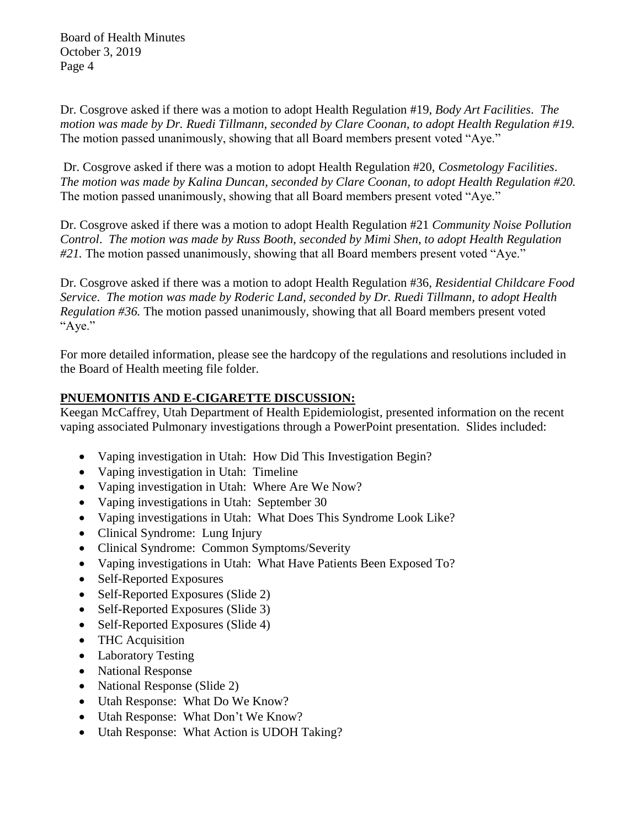Dr. Cosgrove asked if there was a motion to adopt Health Regulation #19, *Body Art Facilities*. *The motion was made by Dr. Ruedi Tillmann, seconded by Clare Coonan, to adopt Health Regulation #19.* The motion passed unanimously, showing that all Board members present voted "Aye."

Dr. Cosgrove asked if there was a motion to adopt Health Regulation #20, *Cosmetology Facilities*. *The motion was made by Kalina Duncan, seconded by Clare Coonan, to adopt Health Regulation #20.* The motion passed unanimously, showing that all Board members present voted "Aye."

Dr. Cosgrove asked if there was a motion to adopt Health Regulation #21 *Community Noise Pollution Control*. *The motion was made by Russ Booth, seconded by Mimi Shen, to adopt Health Regulation #21.* The motion passed unanimously, showing that all Board members present voted "Aye."

Dr. Cosgrove asked if there was a motion to adopt Health Regulation #36, *Residential Childcare Food Service*. *The motion was made by Roderic Land, seconded by Dr. Ruedi Tillmann, to adopt Health Regulation #36.* The motion passed unanimously, showing that all Board members present voted "Aye."

For more detailed information, please see the hardcopy of the regulations and resolutions included in the Board of Health meeting file folder.

# **PNUEMONITIS AND E-CIGARETTE DISCUSSION:**

Keegan McCaffrey, Utah Department of Health Epidemiologist, presented information on the recent vaping associated Pulmonary investigations through a PowerPoint presentation. Slides included:

- Vaping investigation in Utah: How Did This Investigation Begin?
- Vaping investigation in Utah: Timeline
- Vaping investigation in Utah: Where Are We Now?
- Vaping investigations in Utah: September 30
- Vaping investigations in Utah: What Does This Syndrome Look Like?
- Clinical Syndrome: Lung Injury
- Clinical Syndrome: Common Symptoms/Severity
- Vaping investigations in Utah: What Have Patients Been Exposed To?
- Self-Reported Exposures
- Self-Reported Exposures (Slide 2)
- Self-Reported Exposures (Slide 3)
- Self-Reported Exposures (Slide 4)
- THC Acquisition
- Laboratory Testing
- National Response
- National Response (Slide 2)
- Utah Response: What Do We Know?
- Utah Response: What Don't We Know?
- Utah Response: What Action is UDOH Taking?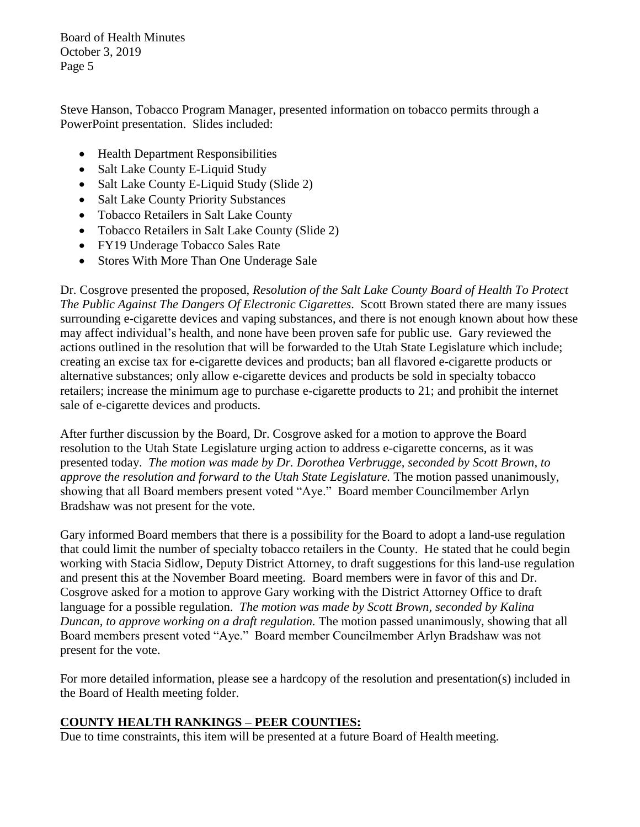Steve Hanson, Tobacco Program Manager, presented information on tobacco permits through a PowerPoint presentation. Slides included:

- Health Department Responsibilities
- Salt Lake County E-Liquid Study
- Salt Lake County E-Liquid Study (Slide 2)
- Salt Lake County Priority Substances
- Tobacco Retailers in Salt Lake County
- Tobacco Retailers in Salt Lake County (Slide 2)
- FY19 Underage Tobacco Sales Rate
- Stores With More Than One Underage Sale

Dr. Cosgrove presented the proposed, *Resolution of the Salt Lake County Board of Health To Protect The Public Against The Dangers Of Electronic Cigarettes*. Scott Brown stated there are many issues surrounding e-cigarette devices and vaping substances, and there is not enough known about how these may affect individual's health, and none have been proven safe for public use. Gary reviewed the actions outlined in the resolution that will be forwarded to the Utah State Legislature which include; creating an excise tax for e-cigarette devices and products; ban all flavored e-cigarette products or alternative substances; only allow e-cigarette devices and products be sold in specialty tobacco retailers; increase the minimum age to purchase e-cigarette products to 21; and prohibit the internet sale of e-cigarette devices and products.

After further discussion by the Board, Dr. Cosgrove asked for a motion to approve the Board resolution to the Utah State Legislature urging action to address e-cigarette concerns, as it was presented today. *The motion was made by Dr. Dorothea Verbrugge, seconded by Scott Brown, to approve the resolution and forward to the Utah State Legislature.* The motion passed unanimously, showing that all Board members present voted "Aye." Board member Councilmember Arlyn Bradshaw was not present for the vote.

Gary informed Board members that there is a possibility for the Board to adopt a land-use regulation that could limit the number of specialty tobacco retailers in the County. He stated that he could begin working with Stacia Sidlow, Deputy District Attorney, to draft suggestions for this land-use regulation and present this at the November Board meeting. Board members were in favor of this and Dr. Cosgrove asked for a motion to approve Gary working with the District Attorney Office to draft language for a possible regulation. *The motion was made by Scott Brown, seconded by Kalina Duncan, to approve working on a draft regulation.* The motion passed unanimously, showing that all Board members present voted "Aye." Board member Councilmember Arlyn Bradshaw was not present for the vote.

For more detailed information, please see a hardcopy of the resolution and presentation(s) included in the Board of Health meeting folder.

# **COUNTY HEALTH RANKINGS – PEER COUNTIES:**

Due to time constraints, this item will be presented at a future Board of Health meeting.